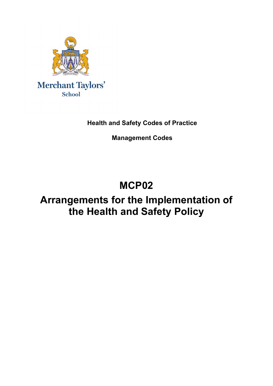

**Health and Safety Codes of Practice**

**Management Codes**

# **MCP02**

# **Arrangements for the Implementation of the Health and Safety Policy**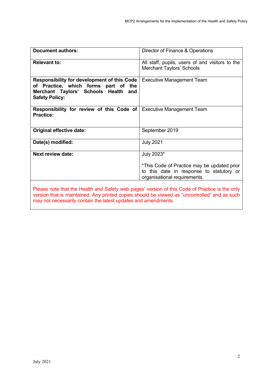| All staff, pupils, users of and visitors to the<br>Merchant Taylors' Schools                                                          |
|---------------------------------------------------------------------------------------------------------------------------------------|
| <b>Executive Management Team</b>                                                                                                      |
| <b>Responsibility for review of this Code of   Executive Management Team</b>                                                          |
| September 2019                                                                                                                        |
| <b>July 2021</b>                                                                                                                      |
| July 2023*<br>*This Code of Practice may be updated prior<br>to this date in response to statutory or<br>organisational requirements. |
|                                                                                                                                       |

Please note that the Health and Safety web pages' version of this Code of Practice is the only version that is maintained. Any printed copies should be viewed as "uncontrolled" and as such may not necessarily contain the latest updates and amendments.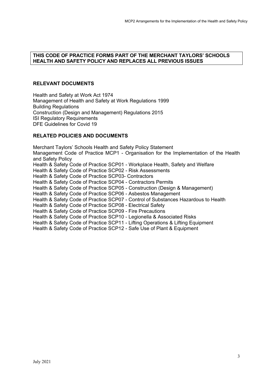#### **THIS CODE OF PRACTICE FORMS PART OF THE MERCHANT TAYLORS' SCHOOLS HEALTH AND SAFETY POLICY AND REPLACES ALL PREVIOUS ISSUES**

## **RELEVANT DOCUMENTS**

Health and Safety at Work Act 1974 Management of Health and Safety at Work Regulations 1999 Building Regulations Construction (Design and Management) Regulations 2015 ISI Regulatory Requirements DFE Guidelines for Covid 19

# **RELATED POLICIES AND DOCUMENTS**

Merchant Taylors' Schools Health and Safety Policy Statement Management Code of Practice MCP1 - Organisation for the Implementation of the Health and Safety Policy Health & Safety Code of Practice SCP01 - Workplace Health, Safety and Welfare Health & Safety Code of Practice SCP02 - Risk Assessments Health & Safety Code of Practice SCP03- Contractors Health & Safety Code of Practice SCP04 - Contractors Permits Health & Safety Code of Practice SCP05 - Construction (Design & Management) Health & Safety Code of Practice SCP06 - Asbestos Management Health & Safety Code of Practice SCP07 - Control of Substances Hazardous to Health Health & Safety Code of Practice SCP08 - Electrical Safety Health & Safety Code of Practice SCP09 - Fire Precautions Health & Safety Code of Practice SCP10 - Legionella & Associated Risks Health & Safety Code of Practice SCP11 - Lifting Operations & Lifting Equipment Health & Safety Code of Practice SCP12 - Safe Use of Plant & Equipment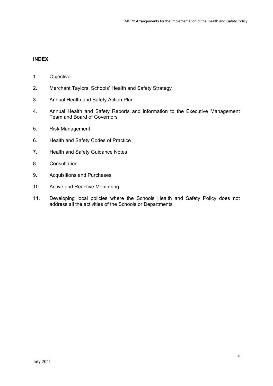# **INDEX**

- 1. Objective
- 2. Merchant Taylors' Schools' Health and Safety Strategy
- 3. Annual Health and Safety Action Plan
- 4. Annual Health and Safety Reports and information to the Executive Management Team and Board of Governors
- 5. Risk Management
- 6. Health and Safety Codes of Practice
- 7. Health and Safety Guidance Notes
- 8. Consultation
- 9. Acquisitions and Purchases
- 10. Active and Reactive Monitoring
- 11. Developing local policies where the Schools Health and Safety Policy does not address all the activities of the Schools or Departments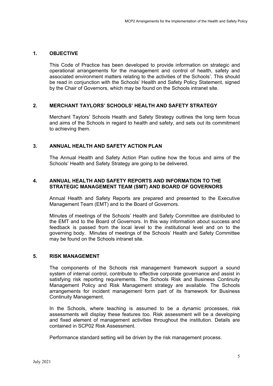## **1. OBJECTIVE**

This Code of Practice has been developed to provide information on strategic and operational arrangements for the management and control of health, safety and associated environment matters relating to the activities of the Schools'. This should be read in conjunction with the Schools' Health and Safety Policy Statement, signed by the Chair of Governors, which may be found on the Schools intranet site.

#### **2. MERCHANT TAYLORS' SCHOOLS' HEALTH AND SAFETY STRATEGY**

Merchant Taylors' Schools Health and Safety Strategy outlines the long term focus and aims of the Schools in regard to health and safety, and sets out its commitment to achieving them.

## **3. ANNUAL HEALTH AND SAFETY ACTION PLAN**

The Annual Health and Safety Action Plan outline how the focus and aims of the Schools' Health and Safety Strategy are going to be delivered.

#### **4. ANNUAL HEALTH AND SAFETY REPORTS AND INFORMATION TO THE STRATEGIC MANAGEMENT TEAM (SMT) AND BOARD OF GOVERNORS**

Annual Health and Safety Reports are prepared and presented to the Executive Management Team (EMT) and to the Board of Governors.

Minutes of meetings of the Schools' Health and Safety Committee are distributed to the EMT and to the Board of Governors. In this way information about success and feedback is passed from the local level to the institutional level and on to the governing body. Minutes of meetings of the Schools' Health and Safety Committee may be found on the Schools intranet site.

#### **5. RISK MANAGEMENT**

The components of the Schools risk management framework support a sound system of internal control, contribute to effective corporate governance and assist in satisfying risk reporting requirements. The Schools Risk and Business Continuity Management Policy and Risk Management strategy are available. The Schools arrangements for incident management form part of its framework for Business Continuity Management.

In the Schools, where teaching is assumed to be a dynamic processes, risk assessments will display these features too. Risk assessment will be a developing and fixed element of management activities throughout the institution. Details are contained in SCP02 Risk Assessment.

Performance standard setting will be driven by the risk management process.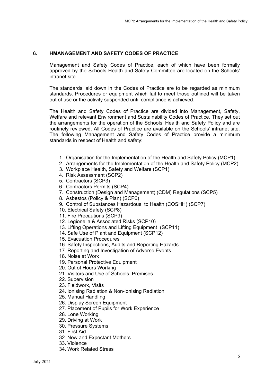# **6. HMANAGEMENT AND SAFETY CODES OF PRACTICE**

Management and Safety Codes of Practice, each of which have been formally approved by the Schools Health and Safety Committee are located on the Schools' intranet site.

The standards laid down in the Codes of Practice are to be regarded as minimum standards. Procedures or equipment which fail to meet those outlined will be taken out of use or the activity suspended until compliance is achieved.

The Health and Safety Codes of Practice are divided into Management, Safety, Welfare and relevant Environment and Sustainability Codes of Practice. They set out the arrangements for the operation of the Schools' Health and Safety Policy and are routinely reviewed. All Codes of Practice are available on the Schools' intranet site. The following Management and Safety Codes of Practice provide a minimum standards in respect of Health and safety:

- 1. Organisation for the Implementation of the Health and Safety Policy (MCP1)
- 2. Arrangements for the Implementation of the Health and Safety Policy (MCP2)
- 3. Workplace Health, Safety and Welfare (SCP1)
- 4. Risk Assessment (SCP2)
- 5. Contractors (SCP3)
- 6. Contractors Permits (SCP4)
- 7. Construction (Design and Management) (CDM) Regulations (SCP5)
- 8. Asbestos (Policy & Plan) (SCP6)
- 9. Control of Substances Hazardous to Health (COSHH) (SCP7)
- 10. Electrical Safety (SCP8)
- 11. Fire Precautions (SCP9)
- 12. Legionella & Associated Risks (SCP10)
- 13. Lifting Operations and Lifting Equipment (SCP11)
- 14. Safe Use of Plant and Equipment (SCP12)
- 15. Evacuation Procedures
- 16. Safety Inspections, Audits and Reporting Hazards
- 17. Reporting and Investigation of Adverse Events
- 18. Noise at Work
- 19. Personal Protective Equipment
- 20. Out of Hours Working
- 21. Visitors and Use of Schools Premises
- 22. Supervision
- 23. Fieldwork, Visits
- 24. Ionising Radiation & Non-ionising Radiation
- 25. Manual Handling
- 26. Display Screen Equipment
- 27. Placement of Pupils for Work Experience
- 28. Lone Working
- 29. Driving at Work
- 30. Pressure Systems
- 31. First Aid
- 32. New and Expectant Mothers
- 33. Violence
- 34. Work Related Stress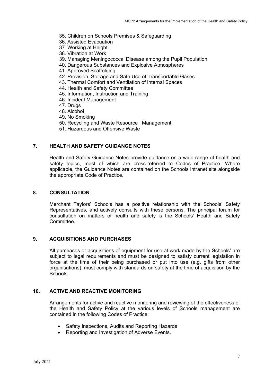- 35. Children on Schools Premises & Safeguarding
- 36. Assisted Evacuation
- 37. Working at Height
- 38. Vibration at Work
- 39. Managing Meningococcal Disease among the Pupil Population
- 40. Dangerous Substances and Explosive Atmospheres
- 41. Approved Scaffolding
- 42. Provision, Storage and Safe Use of Transportable Gases
- 43. Thermal Comfort and Ventilation of Internal Spaces
- 44. Health and Safety Committee
- 45. Information, Instruction and Training
- 46. Incident Management
- 47. Drugs
- 48. Alcohol
- 49. No Smoking
- 50. Recycling and Waste Resource Management
- 51. Hazardous and Offensive Waste

#### **7. HEALTH AND SAFETY GUIDANCE NOTES**

Health and Safety Guidance Notes provide guidance on a wide range of health and safety topics, most of which are cross-referred to Codes of Practice. Where applicable, the Guidance Notes are contained on the Schools intranet site alongside the appropriate Code of Practice.

#### **8. CONSULTATION**

Merchant Taylors' Schools has a positive relationship with the Schools' Safety Representatives, and actively consults with these persons. The principal forum for consultation on matters of health and safety is the Schools' Health and Safety Committee.

#### **9. ACQUISITIONS AND PURCHASES**

All purchases or acquisitions of equipment for use at work made by the Schools' are subject to legal requirements and must be designed to satisfy current legislation in force at the time of their being purchased or put into use (e.g. gifts from other organisations), must comply with standards on safety at the time of acquisition by the Schools.

#### **10. ACTIVE AND REACTIVE MONITORING**

Arrangements for active and reactive monitoring and reviewing of the effectiveness of the Health and Safety Policy at the various levels of Schools management are contained in the following Codes of Practice:

- Safety Inspections, Audits and Reporting Hazards
- Reporting and Investigation of Adverse Events.